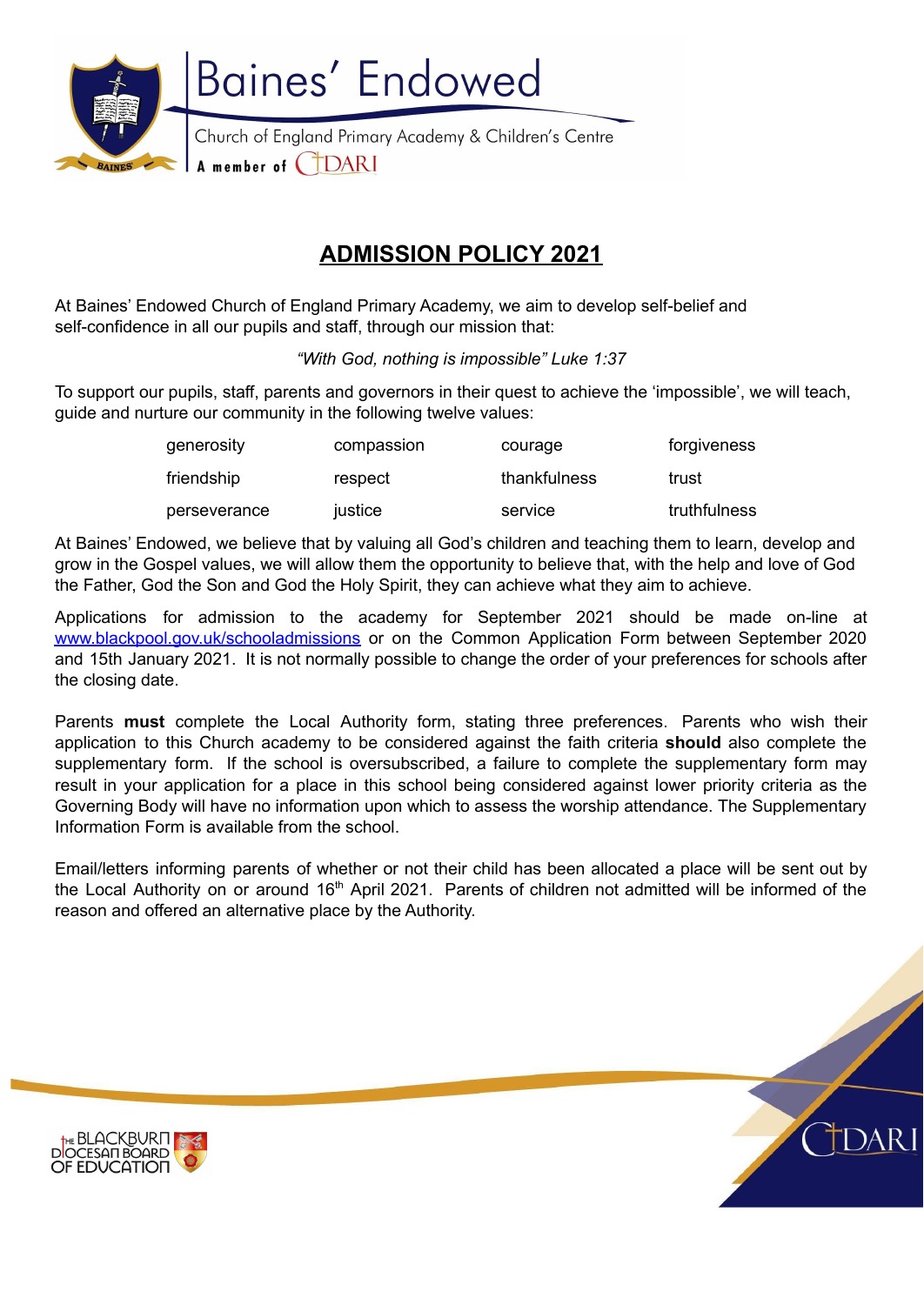

# **ADMISSION POLICY 2021**

At Baines' Endowed Church of England Primary Academy, we aim to develop self-belief and self-confidence in all our pupils and staff, through our mission that:

*"With God, nothing is impossible" Luke 1:37*

To support our pupils, staff, parents and governors in their quest to achieve the 'impossible', we will teach, guide and nurture our community in the following twelve values:

| generosity   | compassion | courage      | forgiveness  |
|--------------|------------|--------------|--------------|
| friendship   | respect    | thankfulness | trust        |
| perseverance | justice    | service      | truthfulness |

At Baines' Endowed, we believe that by valuing all God's children and teaching them to learn, develop and grow in the Gospel values, we will allow them the opportunity to believe that, with the help and love of God the Father, God the Son and God the Holy Spirit, they can achieve what they aim to achieve.

Applications for admission to the academy for September 2021 should be made on-line at [www.blackpool.gov.uk/schooladmissions](http://www.blackpool.gov.uk/schooladmissions) or on the Common Application Form between September 2020 and 15th January 2021. It is not normally possible to change the order of your preferences for schools after the closing date.

Parents **must** complete the Local Authority form, stating three preferences. Parents who wish their application to this Church academy to be considered against the faith criteria **should** also complete the supplementary form. If the school is oversubscribed, a failure to complete the supplementary form may result in your application for a place in this school being considered against lower priority criteria as the Governing Body will have no information upon which to assess the worship attendance. The Supplementary Information Form is available from the school.

Email/letters informing parents of whether or not their child has been allocated a place will be sent out by the Local Authority on or around 16<sup>th</sup> April 2021. Parents of children not admitted will be informed of the reason and offered an alternative place by the Authority.

body, Cidari: the Blackburn Diocese Multi Academy Trust, the Diocesan Board of Education, the Local



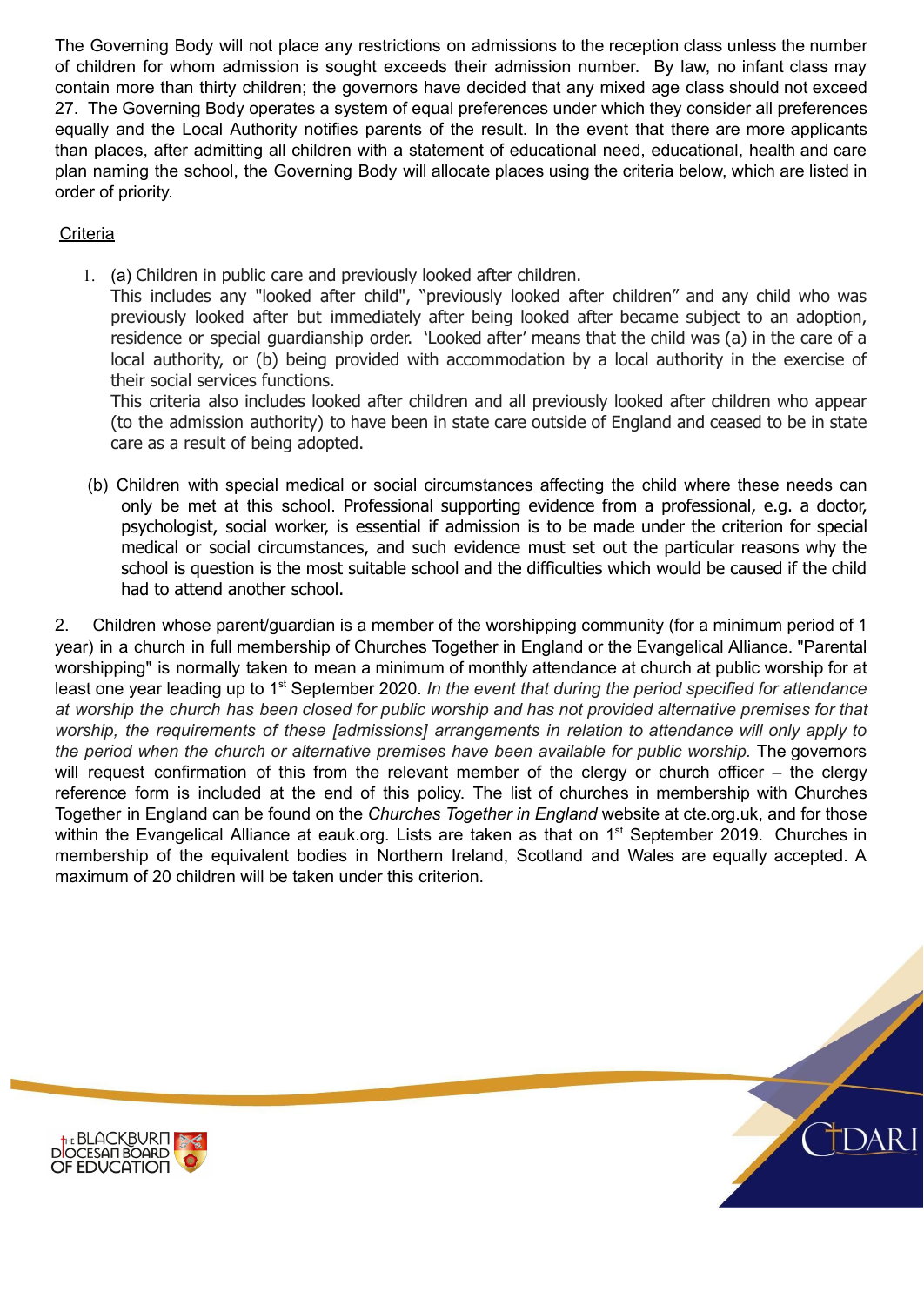The Governing Body will not place any restrictions on admissions to the reception class unless the number of children for whom admission is sought exceeds their admission number. By law, no infant class may contain more than thirty children; the governors have decided that any mixed age class should not exceed 27. The Governing Body operates a system of equal preferences under which they consider all preferences equally and the Local Authority notifies parents of the result. In the event that there are more applicants than places, after admitting all children with a statement of educational need, educational, health and care plan naming the school, the Governing Body will allocate places using the criteria below, which are listed in order of priority.

## **Criteria**

1. (a) Children in public care and previously looked after children.

This includes any "looked after child", "previously looked after children" and any child who was previously looked after but immediately after being looked after became subject to an adoption, residence or special guardianship order. 'Looked after' means that the child was (a) in the care of a local authority, or (b) being provided with accommodation by a local authority in the exercise of their social services functions.

This criteria also includes looked after children and all previously looked after children who appear (to the admission authority) to have been in state care outside of England and ceased to be in state care as a result of being adopted.

(b) Children with special medical or social circumstances affecting the child where these needs can only be met at this school. Professional supporting evidence from a professional, e.g. a doctor, psychologist, social worker, is essential if admission is to be made under the criterion for special medical or social circumstances, and such evidence must set out the particular reasons why the school is question is the most suitable school and the difficulties which would be caused if the child had to attend another school.

2. Children whose parent/guardian is a member of the worshipping community (for a minimum period of 1 year) in a church in full membership of Churches Together in England or the Evangelical Alliance. "Parental worshipping" is normally taken to mean a minimum of monthly attendance at church at public worship for at least one year leading up to 1<sup>st</sup> September 2020. In the event that during the period specified for attendance at worship the church has been closed for public worship and has not provided alternative premises for that *worship, the requirements of these [admissions] arrangements in relation to attendance will only apply to the period when the church or alternative premises have been available for public worship.* The governors will request confirmation of this from the relevant member of the clergy or church officer – the clergy reference form is included at the end of this policy. The list of churches in membership with Churches Together in England can be found on the *Churches Together in England* website at cte.org.uk, and for those within the Evangelical Alliance at eauk.org. Lists are taken as that on 1<sup>st</sup> September 2019. Churches in membership of the equivalent bodies in Northern Ireland, Scotland and Wales are equally accepted. A maximum of 20 children will be taken under this criterion.



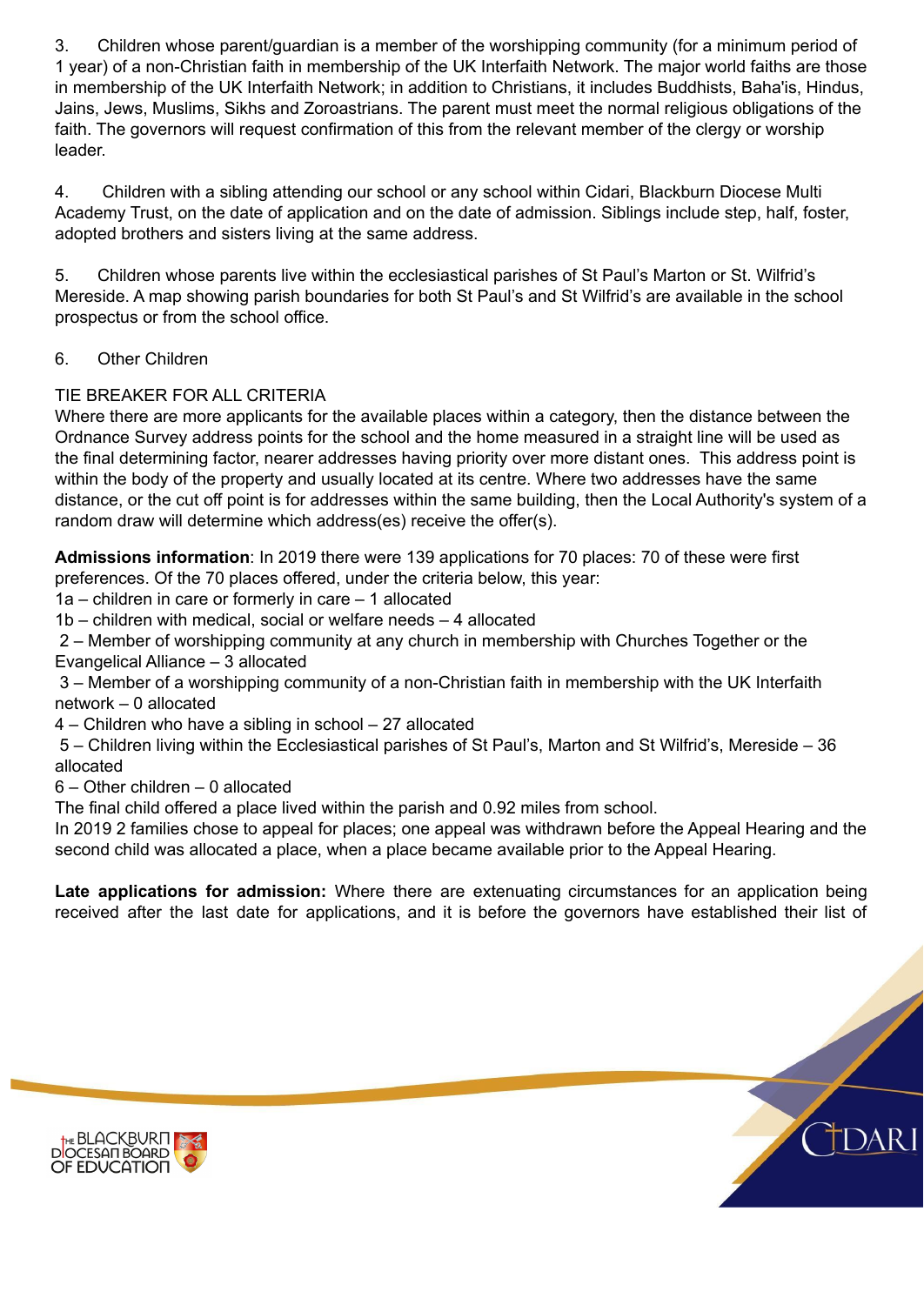3. Children whose parent/guardian is a member of the worshipping community (for a minimum period of 1 year) of a non-Christian faith in membership of the UK Interfaith Network. The major world faiths are those in membership of the UK Interfaith Network; in addition to Christians, it includes Buddhists, Baha'is, Hindus, Jains, Jews, Muslims, Sikhs and Zoroastrians. The parent must meet the normal religious obligations of the faith. The governors will request confirmation of this from the relevant member of the clergy or worship leader.

4. Children with a sibling attending our school or any school within Cidari, Blackburn Diocese Multi Academy Trust, on the date of application and on the date of admission. Siblings include step, half, foster, adopted brothers and sisters living at the same address.

5. Children whose parents live within the ecclesiastical parishes of St Paul's Marton or St. Wilfrid's Mereside. A map showing parish boundaries for both St Paul's and St Wilfrid's are available in the school prospectus or from the school office.

## 6. Other Children

### TIE BREAKER FOR ALL CRITERIA

Where there are more applicants for the available places within a category, then the distance between the Ordnance Survey address points for the school and the home measured in a straight line will be used as the final determining factor, nearer addresses having priority over more distant ones. This address point is within the body of the property and usually located at its centre. Where two addresses have the same distance, or the cut off point is for addresses within the same building, then the Local Authority's system of a random draw will determine which address(es) receive the offer(s).

**Admissions information**: In 2019 there were 139 applications for 70 places: 70 of these were first preferences. Of the 70 places offered, under the criteria below, this year:

1a – children in care or formerly in care – 1 allocated

1b – children with medical, social or welfare needs – 4 allocated

2 – Member of worshipping community at any church in membership with Churches Together or the Evangelical Alliance – 3 allocated

3 – Member of a worshipping community of a non-Christian faith in membership with the UK Interfaith network – 0 allocated

4 – Children who have a sibling in school – 27 allocated

5 – Children living within the Ecclesiastical parishes of St Paul's, Marton and St Wilfrid's, Mereside – 36 allocated

6 – Other children – 0 allocated

The final child offered a place lived within the parish and 0.92 miles from school.

In 2019 2 families chose to appeal for places; one appeal was withdrawn before the Appeal Hearing and the second child was allocated a place, when a place became available prior to the Appeal Hearing.

**Late applications for admission:** Where there are extenuating circumstances for an application being received after the last date for applications, and it is before the governors have established their list of

who are not admitted will have the interest on a waiting list. The names on this waiting list will be interest



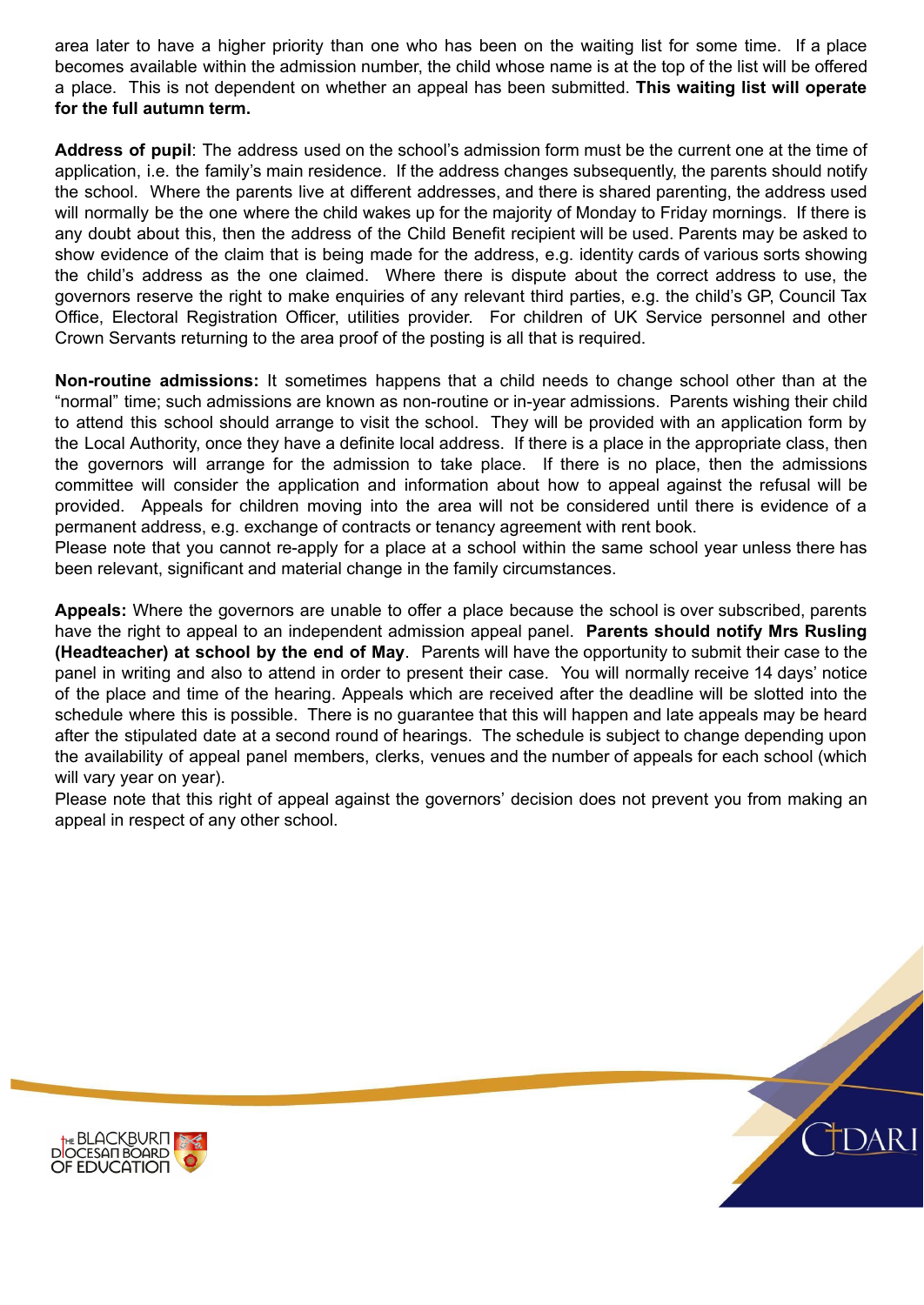area later to have a higher priority than one who has been on the waiting list for some time. If a place becomes available within the admission number, the child whose name is at the top of the list will be offered a place. This is not dependent on whether an appeal has been submitted. **This waiting list will operate for the full autumn term.**

**Address of pupil**: The address used on the school's admission form must be the current one at the time of application, i.e. the family's main residence. If the address changes subsequently, the parents should notify the school. Where the parents live at different addresses, and there is shared parenting, the address used will normally be the one where the child wakes up for the majority of Monday to Friday mornings. If there is any doubt about this, then the address of the Child Benefit recipient will be used. Parents may be asked to show evidence of the claim that is being made for the address, e.g. identity cards of various sorts showing the child's address as the one claimed. Where there is dispute about the correct address to use, the governors reserve the right to make enquiries of any relevant third parties, e.g. the child's GP, Council Tax Office, Electoral Registration Officer, utilities provider. For children of UK Service personnel and other Crown Servants returning to the area proof of the posting is all that is required.

**Non-routine admissions:** It sometimes happens that a child needs to change school other than at the "normal" time; such admissions are known as non-routine or in-year admissions. Parents wishing their child to attend this school should arrange to visit the school. They will be provided with an application form by the Local Authority, once they have a definite local address. If there is a place in the appropriate class, then the governors will arrange for the admission to take place. If there is no place, then the admissions committee will consider the application and information about how to appeal against the refusal will be provided. Appeals for children moving into the area will not be considered until there is evidence of a permanent address, e.g. exchange of contracts or tenancy agreement with rent book.

Please note that you cannot re-apply for a place at a school within the same school year unless there has been relevant, significant and material change in the family circumstances.

**Appeals:** Where the governors are unable to offer a place because the school is over subscribed, parents have the right to appeal to an independent admission appeal panel. **Parents should notify Mrs Rusling (Headteacher) at school by the end of May**. Parents will have the opportunity to submit their case to the panel in writing and also to attend in order to present their case. You will normally receive 14 days' notice of the place and time of the hearing. Appeals which are received after the deadline will be slotted into the schedule where this is possible. There is no guarantee that this will happen and late appeals may be heard after the stipulated date at a second round of hearings. The schedule is subject to change depending upon the availability of appeal panel members, clerks, venues and the number of appeals for each school (which will vary year on year).

Please note that this right of appeal against the governors' decision does not prevent you from making an appeal in respect of any other school.



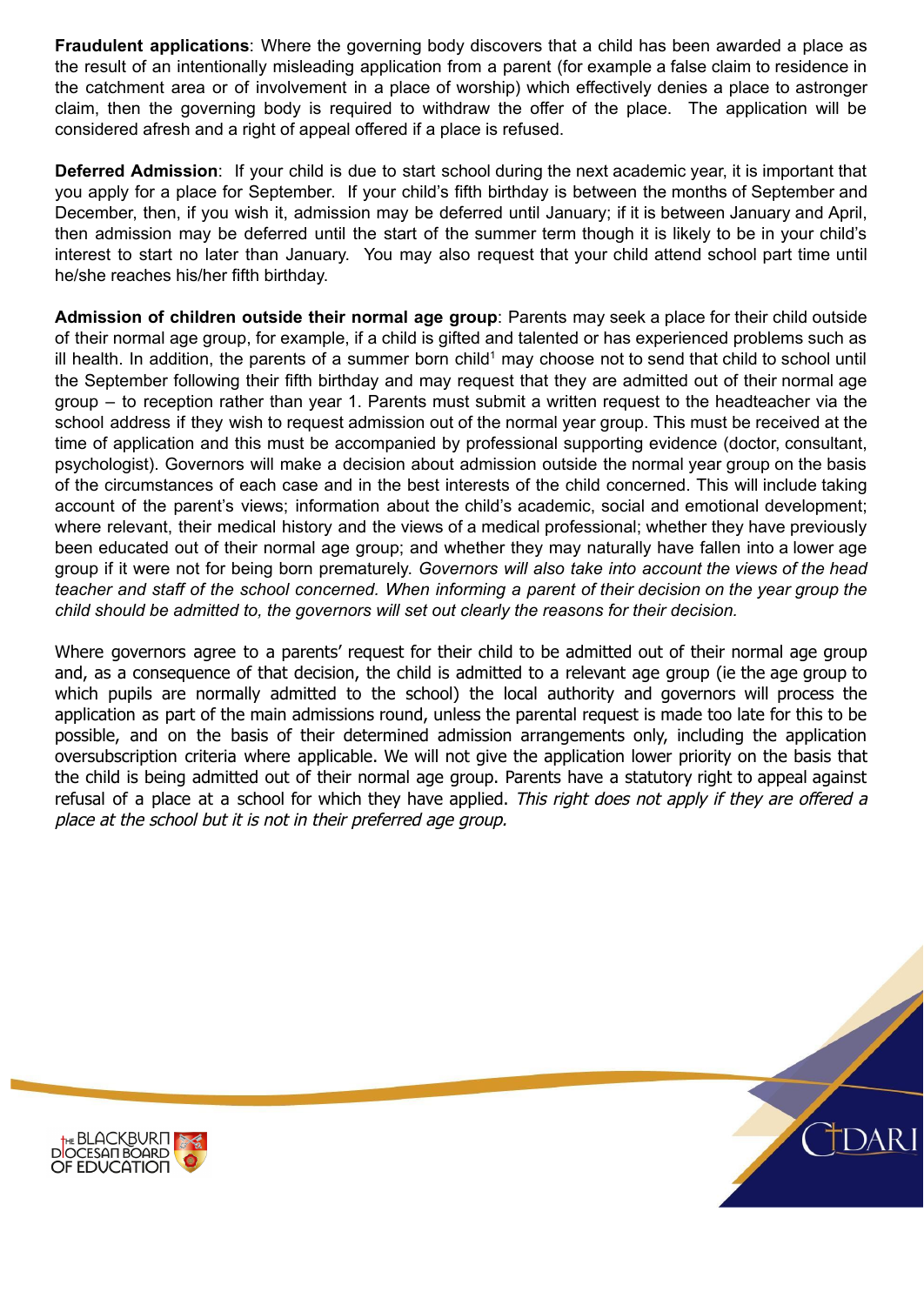**Fraudulent applications**: Where the governing body discovers that a child has been awarded a place as the result of an intentionally misleading application from a parent (for example a false claim to residence in the catchment area or of involvement in a place of worship) which effectively denies a place to astronger claim, then the governing body is required to withdraw the offer of the place. The application will be considered afresh and a right of appeal offered if a place is refused.

**Deferred Admission**: If your child is due to start school during the next academic year, it is important that you apply for a place for September. If your child's fifth birthday is between the months of September and December, then, if you wish it, admission may be deferred until January; if it is between January and April, then admission may be deferred until the start of the summer term though it is likely to be in your child's interest to start no later than January. You may also request that your child attend school part time until he/she reaches his/her fifth birthday.

**Admission of children outside their normal age group**: Parents may seek a place for their child outside of their normal age group, for example, if a child is gifted and talented or has experienced problems such as ill health. In addition, the parents of a summer born child<sup>1</sup> may choose not to send that child to school until the September following their fifth birthday and may request that they are admitted out of their normal age group – to reception rather than year 1. Parents must submit a written request to the headteacher via the school address if they wish to request admission out of the normal year group. This must be received at the time of application and this must be accompanied by professional supporting evidence (doctor, consultant, psychologist). Governors will make a decision about admission outside the normal year group on the basis of the circumstances of each case and in the best interests of the child concerned. This will include taking account of the parent's views; information about the child's academic, social and emotional development; where relevant, their medical history and the views of a medical professional; whether they have previously been educated out of their normal age group; and whether they may naturally have fallen into a lower age group if it were not for being born prematurely. *Governors will also take into account the views of the head* teacher and staff of the school concerned. When informing a parent of their decision on the vear group the *child should be admitted to, the governors will set out clearly the reasons for their decision.*

Where governors agree to a parents' request for their child to be admitted out of their normal age group and, as a consequence of that decision, the child is admitted to a relevant age group (ie the age group to which pupils are normally admitted to the school) the local authority and governors will process the application as part of the main admissions round, unless the parental request is made too late for this to be possible, and on the basis of their determined admission arrangements only, including the application oversubscription criteria where applicable. We will not give the application lower priority on the basis that the child is being admitted out of their normal age group. Parents have a statutory right to appeal against refusal of a place at a school for which they have applied. This right does not apply if they are offered a place at the school but it is not in their preferred age group.



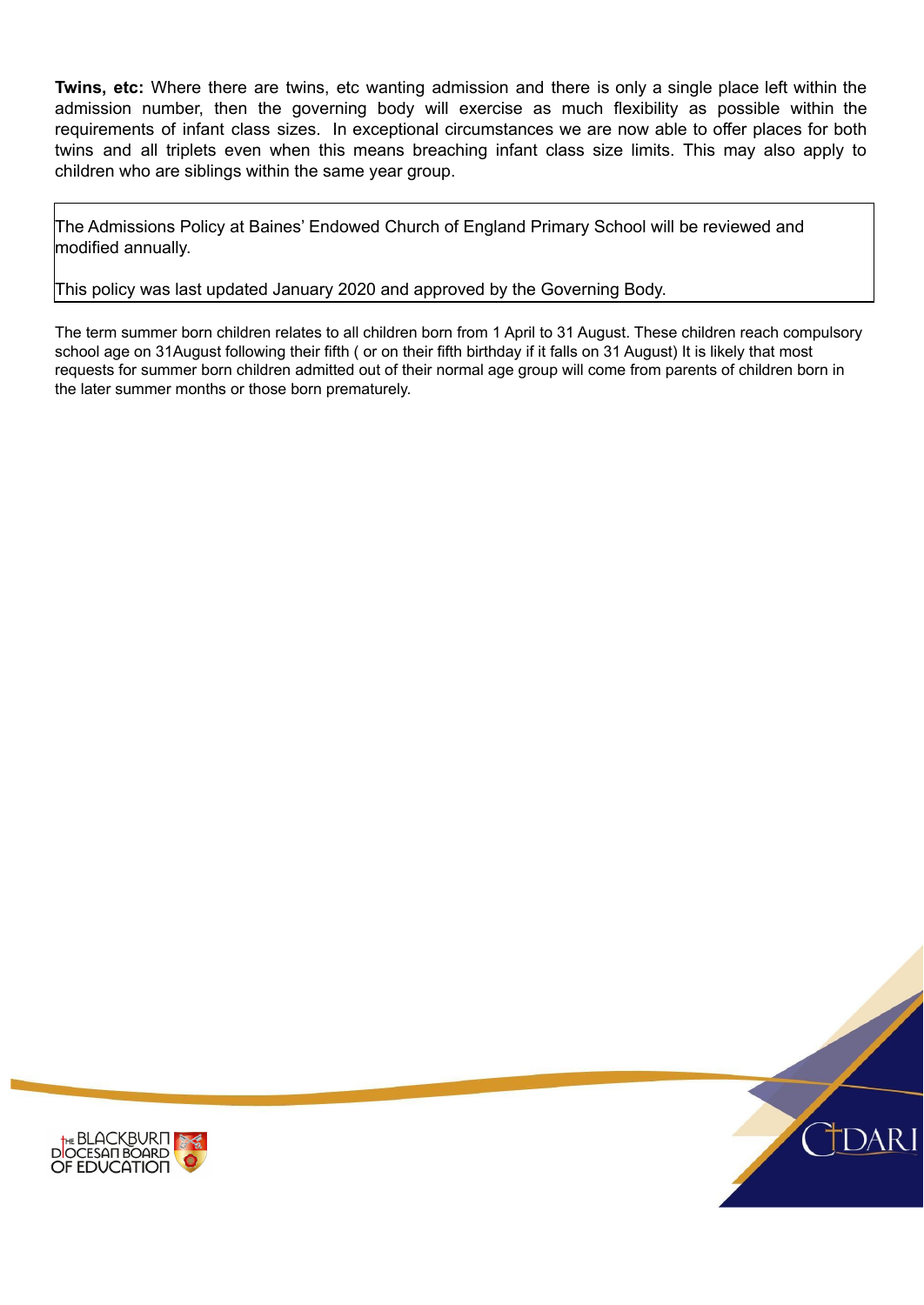**Twins, etc:** Where there are twins, etc wanting admission and there is only a single place left within the admission number, then the governing body will exercise as much flexibility as possible within the requirements of infant class sizes. In exceptional circumstances we are now able to offer places for both twins and all triplets even when this means breaching infant class size limits. This may also apply to children who are siblings within the same year group.

The Admissions Policy at Baines' Endowed Church of England Primary School will be reviewed and modified annually.

This policy was last updated January 2020 and approved by the Governing Body.

The term summer born children relates to all children born from 1 April to 31 August. These children reach compulsory school age on 31August following their fifth ( or on their fifth birthday if it falls on 31 August) It is likely that most requests for summer born children admitted out of their normal age group will come from parents of children born in the later summer months or those born prematurely.

Diocesan Supplementary Information Form



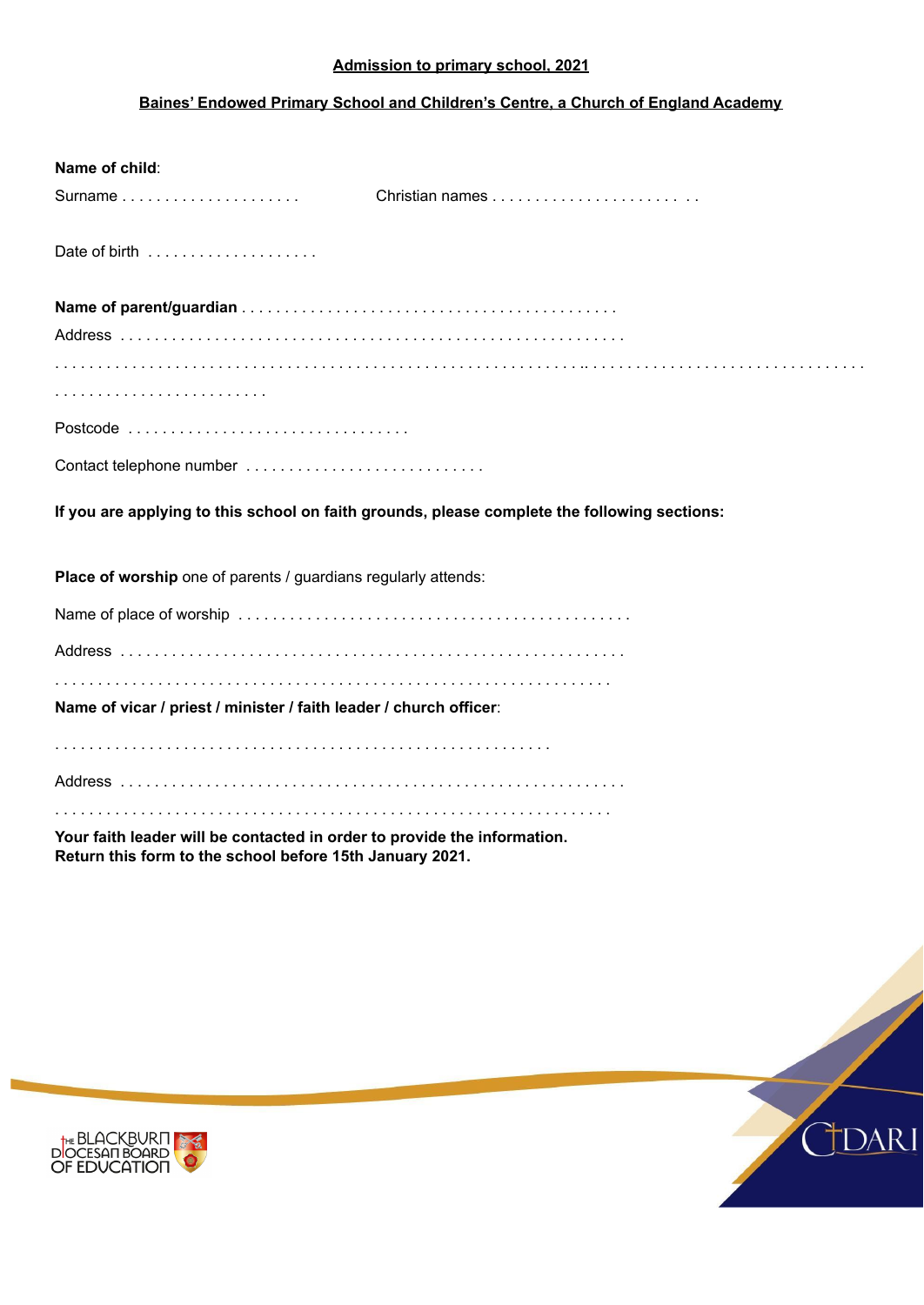#### **Admission to primary school, 2021**

#### **Baines' Endowed Primary School and Children's Centre, a Church of England Academy**

| Name of child:                                                                                                                       |                                                                                              |
|--------------------------------------------------------------------------------------------------------------------------------------|----------------------------------------------------------------------------------------------|
| Surname $\ldots \ldots \ldots \ldots \ldots \ldots$                                                                                  |                                                                                              |
|                                                                                                                                      |                                                                                              |
|                                                                                                                                      |                                                                                              |
|                                                                                                                                      |                                                                                              |
|                                                                                                                                      |                                                                                              |
|                                                                                                                                      |                                                                                              |
|                                                                                                                                      |                                                                                              |
| Contact telephone number                                                                                                             |                                                                                              |
|                                                                                                                                      | If you are applying to this school on faith grounds, please complete the following sections: |
| Place of worship one of parents / guardians regularly attends:                                                                       |                                                                                              |
|                                                                                                                                      |                                                                                              |
|                                                                                                                                      |                                                                                              |
| Name of vicar / priest / minister / faith leader / church officer:                                                                   |                                                                                              |
|                                                                                                                                      |                                                                                              |
|                                                                                                                                      |                                                                                              |
|                                                                                                                                      |                                                                                              |
| Your faith leader will be contacted in order to provide the information.<br>Return this form to the school before 15th January 2021. |                                                                                              |

Clergy Reference Form